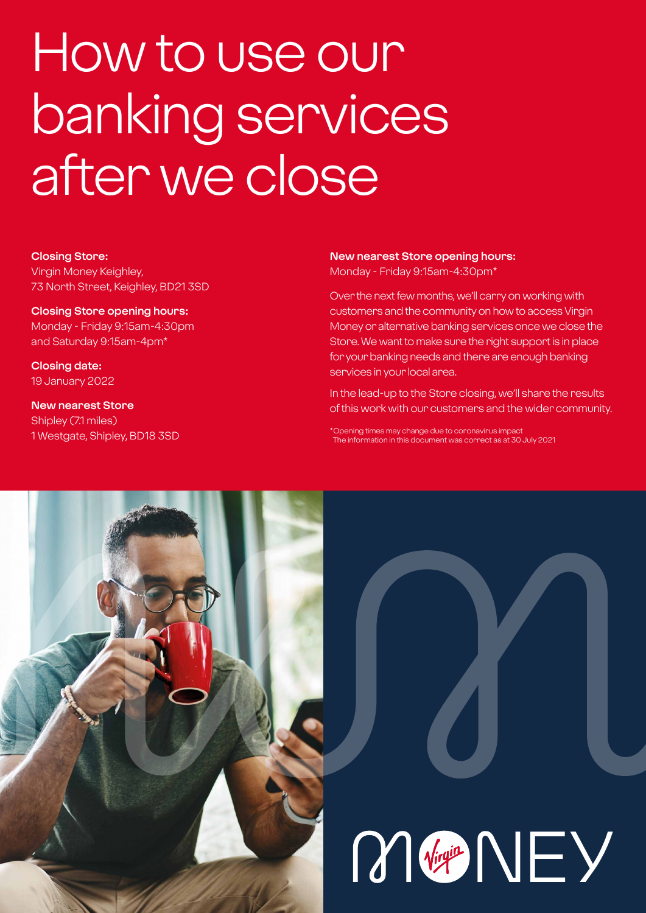# How to use our banking services after we close

#### **Closing Store:**

Virgin Money Keighley, 73 North Street, Keighley, BD21 3SD

**Closing Store opening hours:**  Monday - Friday 9:15am-4:30pm and Saturday 9:15am-4pm\*

**Closing date:**  19 January 2022

**New nearest Store** Shipley (7.1 miles) 1 Westgate, Shipley, BD18 3SD

#### **New nearest Store opening hours:** Monday - Friday 9:15am-4:30pm\*

Over the next few months, we'll carry on working with customers and the community on how to access Virgin Money or alternative banking services once we close the Store. We want to make sure the right support is in place for your banking needs and there are enough banking services in your local area.

In the lead-up to the Store closing, we'll share the results of this work with our customers and the wider community.

\*Opening times may change due to coronavirus impact The information in this document was correct as at 30 July 2021

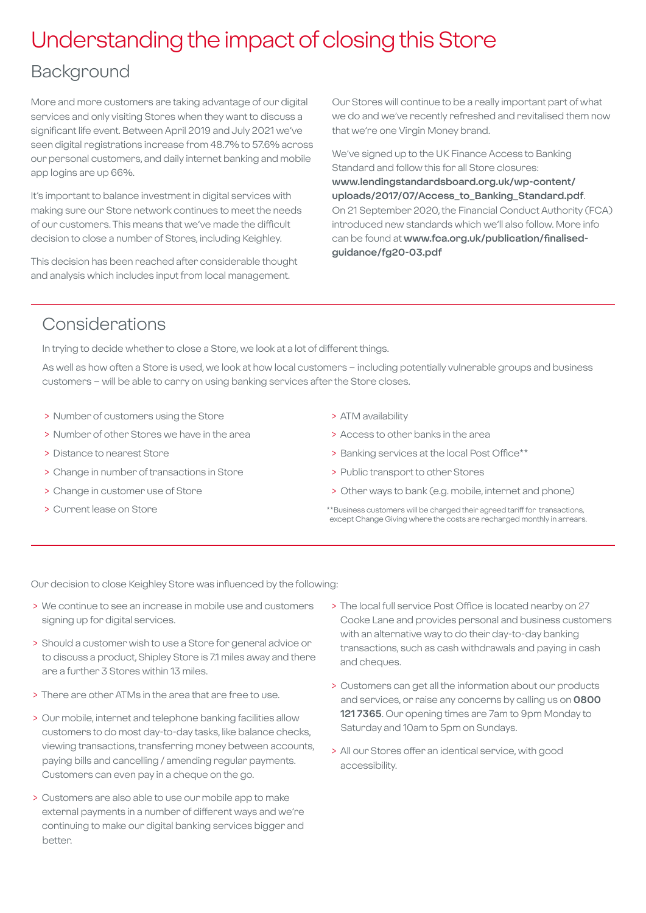## Understanding the impact of closing this Store

### Background

More and more customers are taking advantage of our digital services and only visiting Stores when they want to discuss a significant life event. Between April 2019 and July 2021 we've seen digital registrations increase from 48.7% to 57.6% across our personal customers, and daily internet banking and mobile app logins are up 66%.

It's important to balance investment in digital services with making sure our Store network continues to meet the needs of our customers. This means that we've made the difficult decision to close a number of Stores, including Keighley.

This decision has been reached after considerable thought and analysis which includes input from local management.

Our Stores will continue to be a really important part of what we do and we've recently refreshed and revitalised them now that we're one Virgin Money brand.

We've signed up to the UK Finance Access to Banking Standard and follow this for all Store closures: **[www.lendingstandardsboard.org.uk/wp-content/](http://www.lendingstandardsboard.org.uk/wp-content/uploads/2017/07/Access_to_Banking_Standard.pdf) [uploads/2017/07/Access\\_to\\_Banking\\_Standard.pdf](http://www.lendingstandardsboard.org.uk/wp-content/uploads/2017/07/Access_to_Banking_Standard.pdf)**. On 21 September 2020, the Financial Conduct Authority (FCA) introduced new standards which we'll also follow. More info can be found at **[www.fca.org.uk/publication/finalised](http://www.fca.org.uk/publication/finalised-guidance/fg20-03.pdf)[guidance/fg20-03.pdf](http://www.fca.org.uk/publication/finalised-guidance/fg20-03.pdf)**

## Considerations

In trying to decide whether to close a Store, we look at a lot of different things.

As well as how often a Store is used, we look at how local customers – including potentially vulnerable groups and business customers – will be able to carry on using banking services after the Store closes.

- > Number of customers using the Store
- > Number of other Stores we have in the area
- > Distance to nearest Store
- > Change in number of transactions in Store
- > Change in customer use of Store
- > Current lease on Store
- > ATM availability
- > Access to other banks in the area
- > Banking services at the local Post Office\*\*
- > Public transport to other Stores
- > Other ways to bank (e.g. mobile, internet and phone)
- \*\*Business customers will be charged their agreed tariff for transactions, except Change Giving where the costs are recharged monthly in arrears.

Our decision to close Keighley Store was influenced by the following:

- > We continue to see an increase in mobile use and customers signing up for digital services.
- > Should a customer wish to use a Store for general advice or to discuss a product, Shipley Store is 7.1 miles away and there are a further 3 Stores within 13 miles.
- > There are other ATMs in the area that are free to use.
- > Our mobile, internet and telephone banking facilities allow customers to do most day-to-day tasks, like balance checks, viewing transactions, transferring money between accounts, paying bills and cancelling / amending regular payments. Customers can even pay in a cheque on the go.
- > Customers are also able to use our mobile app to make external payments in a number of different ways and we're continuing to make our digital banking services bigger and better.
- > The local full service Post Office is located nearby on 27 Cooke Lane and provides personal and business customers with an alternative way to do their day-to-day banking transactions, such as cash withdrawals and paying in cash and cheques.
- > Customers can get all the information about our products and services, or raise any concerns by calling us on **0800 121 7365**. Our opening times are 7am to 9pm Monday to Saturday and 10am to 5pm on Sundays.
- > All our Stores offer an identical service, with good accessibility.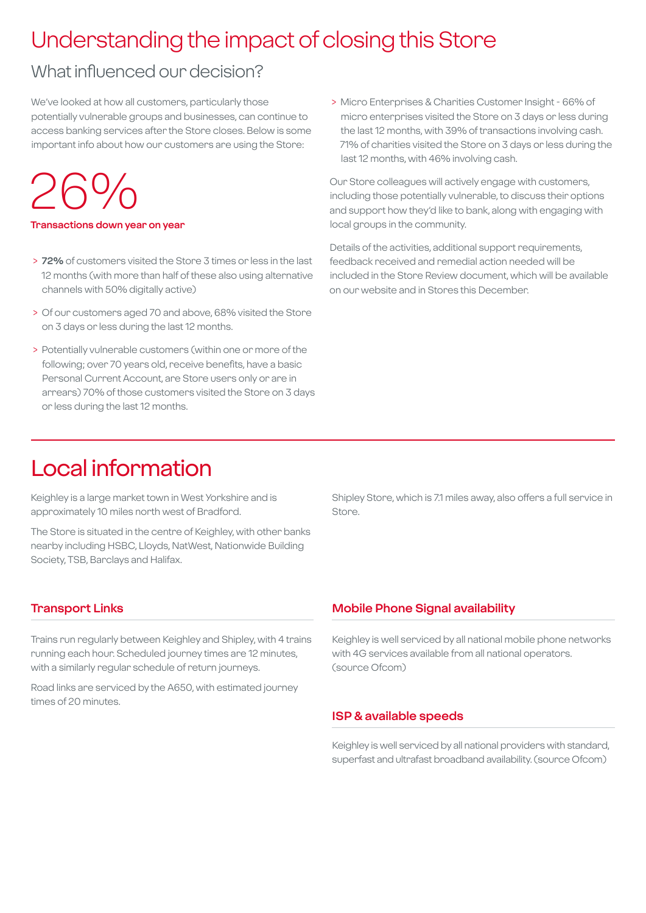## Understanding the impact of closing this Store

## What influenced our decision?

We've looked at how all customers, particularly those potentially vulnerable groups and businesses, can continue to access banking services after the Store closes. Below is some important info about how our customers are using the Store:

## 26%

#### **Transactions down year on year**

- > **72%** of customers visited the Store 3 times or less in the last 12 months (with more than half of these also using alternative channels with 50% digitally active)
- > Of our customers aged 70 and above, 68% visited the Store on 3 days or less during the last 12 months.
- > Potentially vulnerable customers (within one or more of the following; over 70 years old, receive benefits, have a basic Personal Current Account, are Store users only or are in arrears) 70% of those customers visited the Store on 3 days or less during the last 12 months.

 > Micro Enterprises & Charities Customer Insight - 66% of micro enterprises visited the Store on 3 days or less during the last 12 months, with 39% of transactions involving cash. 71% of charities visited the Store on 3 days or less during the last 12 months, with 46% involving cash.

Our Store colleagues will actively engage with customers, including those potentially vulnerable, to discuss their options and support how they'd like to bank, along with engaging with local groups in the community.

Details of the activities, additional support requirements, feedback received and remedial action needed will be included in the Store Review document, which will be available on our website and in Stores this December.

## Local information

Keighley is a large market town in West Yorkshire and is approximately 10 miles north west of Bradford.

The Store is situated in the centre of Keighley, with other banks nearby including HSBC, Lloyds, NatWest, Nationwide Building Society, TSB, Barclays and Halifax.

Shipley Store, which is 7.1 miles away, also offers a full service in Store.

#### **Transport Links**

Trains run regularly between Keighley and Shipley, with 4 trains running each hour. Scheduled journey times are 12 minutes, with a similarly regular schedule of return journeys.

Road links are serviced by the A650, with estimated journey times of 20 minutes.

#### **Mobile Phone Signal availability**

Keighley is well serviced by all national mobile phone networks with 4G services available from all national operators. (source Ofcom)

#### **ISP & available speeds**

Keighley is well serviced by all national providers with standard, superfast and ultrafast broadband availability. (source Ofcom)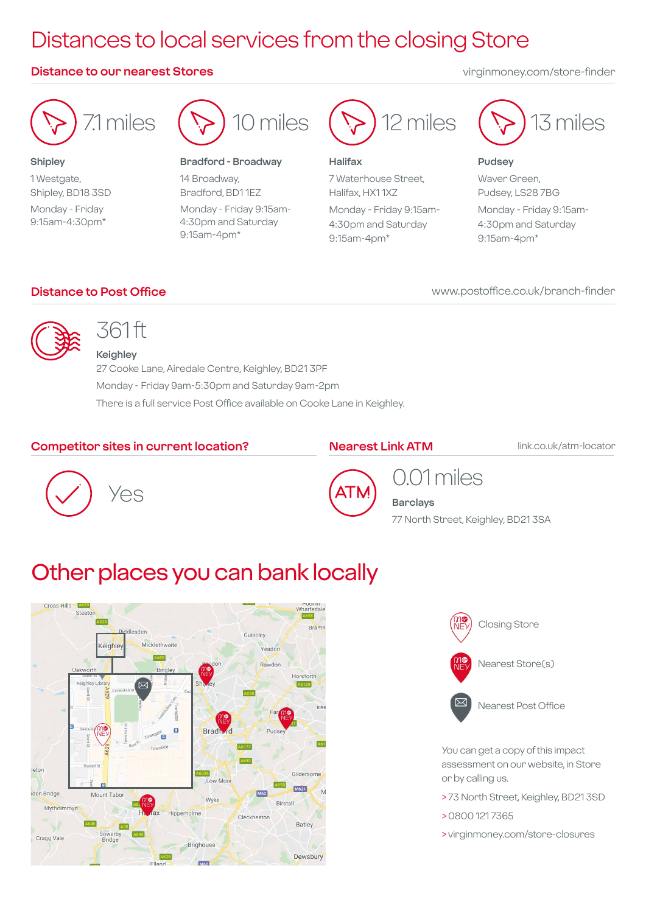## Distances to local services from the closing Store

#### **Distance to our nearest Stores** virginmoney.com/store-finder



**Shipley** 1 Westgate, Shipley, BD18 3SD Monday - Friday 9:15am-4:30pm\*



#### **Bradford - Broadway**

14 Broadway, Bradford, BD1 1EZ Monday - Friday 9:15am-4:30pm and Saturday 9:15am-4pm\*



#### **Halifax**

7 Waterhouse Street, Halifax, HX1 1XZ Monday - Friday 9:15am-4:30pm and Saturday 9:15am-4pm\*



#### **Pudsey**

Waver Green, Pudsey, LS28 7BG Monday - Friday 9:15am-4:30pm and Saturday 9:15am-4pm\*

#### **Distance to Post Office**

www.postoffice.co.uk/branch-finder



## 361 ft

**Keighley** 27 Cooke Lane, Airedale Centre, Keighley, BD21 3PF Monday - Friday 9am-5:30pm and Saturday 9am-2pm There is a full service Post Office available on Cooke Lane in Keighley.

#### **Competitor sites in current location?**

#### **Nearest Link ATM link.co.uk/atm-locator**





## 0.01 miles

**Barclays** 77 North Street, Keighley, BD21 3SA

## Other places you can bank locally





You can get a copy of this impact assessment on our website, in Store or by calling us.

- > 73 North Street, Keighley, BD21 3SD
- > 0800 121 7365
- > virginmoney.com/store-closures